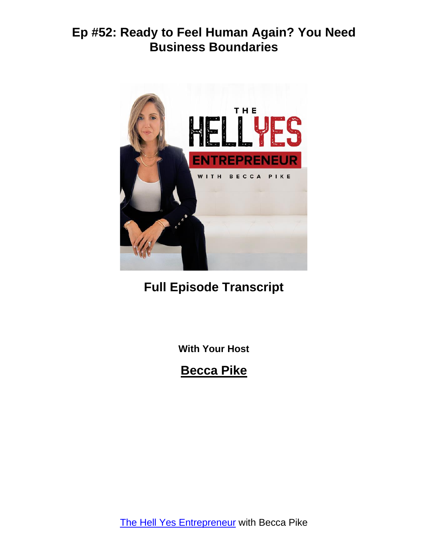

# **Full Episode Transcript**

**With Your Host**

**Becca Pike**

The Hell Yes [Entrepreneur](https://www.hellyescoachingonline.com/) with Becca Pike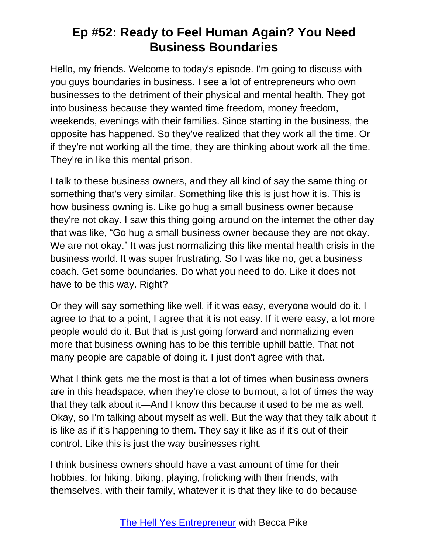Hello, my friends. Welcome to today's episode. I'm going to discuss with you guys boundaries in business. I see a lot of entrepreneurs who own businesses to the detriment of their physical and mental health. They got into business because they wanted time freedom, money freedom, weekends, evenings with their families. Since starting in the business, the opposite has happened. So they've realized that they work all the time. Or if they're not working all the time, they are thinking about work all the time. They're in like this mental prison.

I talk to these business owners, and they all kind of say the same thing or something that's very similar. Something like this is just how it is. This is how business owning is. Like go hug a small business owner because they're not okay. I saw this thing going around on the internet the other day that was like, "Go hug a small business owner because they are not okay. We are not okay." It was just normalizing this like mental health crisis in the business world. It was super frustrating. So I was like no, get a business coach. Get some boundaries. Do what you need to do. Like it does not have to be this way. Right?

Or they will say something like well, if it was easy, everyone would do it. I agree to that to a point, I agree that it is not easy. If it were easy, a lot more people would do it. But that is just going forward and normalizing even more that business owning has to be this terrible uphill battle. That not many people are capable of doing it. I just don't agree with that.

What I think gets me the most is that a lot of times when business owners are in this headspace, when they're close to burnout, a lot of times the way that they talk about it—And I know this because it used to be me as well. Okay, so I'm talking about myself as well. But the way that they talk about it is like as if it's happening to them. They say it like as if it's out of their control. Like this is just the way businesses right.

I think business owners should have a vast amount of time for their hobbies, for hiking, biking, playing, frolicking with their friends, with themselves, with their family, whatever it is that they like to do because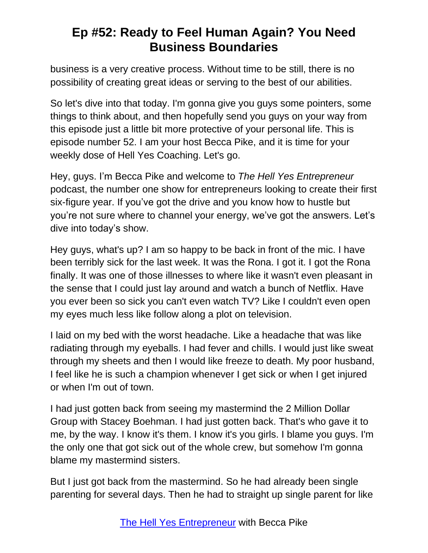business is a very creative process. Without time to be still, there is no possibility of creating great ideas or serving to the best of our abilities.

So let's dive into that today. I'm gonna give you guys some pointers, some things to think about, and then hopefully send you guys on your way from this episode just a little bit more protective of your personal life. This is episode number 52. I am your host Becca Pike, and it is time for your weekly dose of Hell Yes Coaching. Let's go.

Hey, guys. I'm Becca Pike and welcome to *The Hell Yes Entrepreneur* podcast, the number one show for entrepreneurs looking to create their first six-figure year. If you've got the drive and you know how to hustle but you're not sure where to channel your energy, we've got the answers. Let's dive into today's show.

Hey guys, what's up? I am so happy to be back in front of the mic. I have been terribly sick for the last week. It was the Rona. I got it. I got the Rona finally. It was one of those illnesses to where like it wasn't even pleasant in the sense that I could just lay around and watch a bunch of Netflix. Have you ever been so sick you can't even watch TV? Like I couldn't even open my eyes much less like follow along a plot on television.

I laid on my bed with the worst headache. Like a headache that was like radiating through my eyeballs. I had fever and chills. I would just like sweat through my sheets and then I would like freeze to death. My poor husband, I feel like he is such a champion whenever I get sick or when I get injured or when I'm out of town.

I had just gotten back from seeing my mastermind the 2 Million Dollar Group with Stacey Boehman. I had just gotten back. That's who gave it to me, by the way. I know it's them. I know it's you girls. I blame you guys. I'm the only one that got sick out of the whole crew, but somehow I'm gonna blame my mastermind sisters.

But I just got back from the mastermind. So he had already been single parenting for several days. Then he had to straight up single parent for like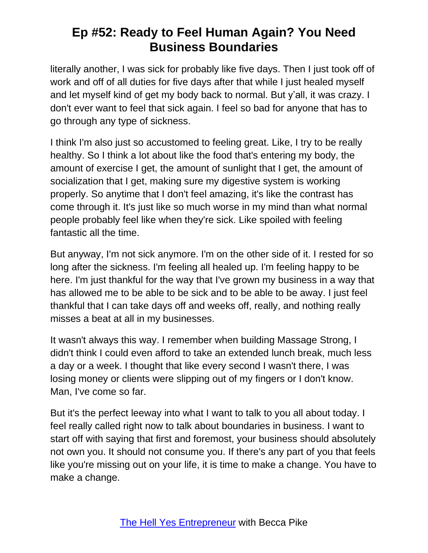literally another, I was sick for probably like five days. Then I just took off of work and off of all duties for five days after that while I just healed myself and let myself kind of get my body back to normal. But y'all, it was crazy. I don't ever want to feel that sick again. I feel so bad for anyone that has to go through any type of sickness.

I think I'm also just so accustomed to feeling great. Like, I try to be really healthy. So I think a lot about like the food that's entering my body, the amount of exercise I get, the amount of sunlight that I get, the amount of socialization that I get, making sure my digestive system is working properly. So anytime that I don't feel amazing, it's like the contrast has come through it. It's just like so much worse in my mind than what normal people probably feel like when they're sick. Like spoiled with feeling fantastic all the time.

But anyway, I'm not sick anymore. I'm on the other side of it. I rested for so long after the sickness. I'm feeling all healed up. I'm feeling happy to be here. I'm just thankful for the way that I've grown my business in a way that has allowed me to be able to be sick and to be able to be away. I just feel thankful that I can take days off and weeks off, really, and nothing really misses a beat at all in my businesses.

It wasn't always this way. I remember when building Massage Strong, I didn't think I could even afford to take an extended lunch break, much less a day or a week. I thought that like every second I wasn't there, I was losing money or clients were slipping out of my fingers or I don't know. Man, I've come so far.

But it's the perfect leeway into what I want to talk to you all about today. I feel really called right now to talk about boundaries in business. I want to start off with saying that first and foremost, your business should absolutely not own you. It should not consume you. If there's any part of you that feels like you're missing out on your life, it is time to make a change. You have to make a change.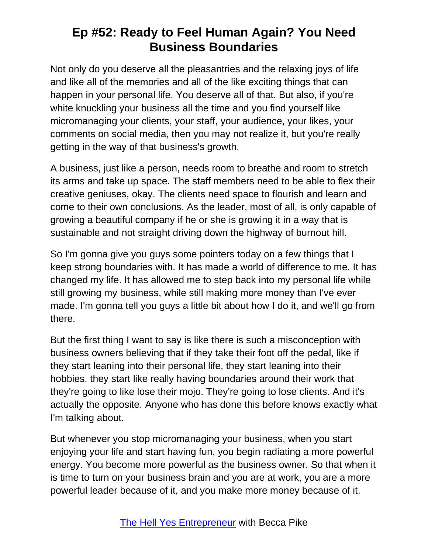Not only do you deserve all the pleasantries and the relaxing joys of life and like all of the memories and all of the like exciting things that can happen in your personal life. You deserve all of that. But also, if you're white knuckling your business all the time and you find yourself like micromanaging your clients, your staff, your audience, your likes, your comments on social media, then you may not realize it, but you're really getting in the way of that business's growth.

A business, just like a person, needs room to breathe and room to stretch its arms and take up space. The staff members need to be able to flex their creative geniuses, okay. The clients need space to flourish and learn and come to their own conclusions. As the leader, most of all, is only capable of growing a beautiful company if he or she is growing it in a way that is sustainable and not straight driving down the highway of burnout hill.

So I'm gonna give you guys some pointers today on a few things that I keep strong boundaries with. It has made a world of difference to me. It has changed my life. It has allowed me to step back into my personal life while still growing my business, while still making more money than I've ever made. I'm gonna tell you guys a little bit about how I do it, and we'll go from there.

But the first thing I want to say is like there is such a misconception with business owners believing that if they take their foot off the pedal, like if they start leaning into their personal life, they start leaning into their hobbies, they start like really having boundaries around their work that they're going to like lose their mojo. They're going to lose clients. And it's actually the opposite. Anyone who has done this before knows exactly what I'm talking about.

But whenever you stop micromanaging your business, when you start enjoying your life and start having fun, you begin radiating a more powerful energy. You become more powerful as the business owner. So that when it is time to turn on your business brain and you are at work, you are a more powerful leader because of it, and you make more money because of it.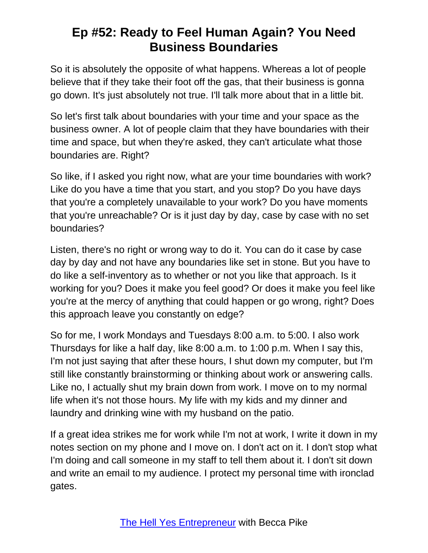So it is absolutely the opposite of what happens. Whereas a lot of people believe that if they take their foot off the gas, that their business is gonna go down. It's just absolutely not true. I'll talk more about that in a little bit.

So let's first talk about boundaries with your time and your space as the business owner. A lot of people claim that they have boundaries with their time and space, but when they're asked, they can't articulate what those boundaries are. Right?

So like, if I asked you right now, what are your time boundaries with work? Like do you have a time that you start, and you stop? Do you have days that you're a completely unavailable to your work? Do you have moments that you're unreachable? Or is it just day by day, case by case with no set boundaries?

Listen, there's no right or wrong way to do it. You can do it case by case day by day and not have any boundaries like set in stone. But you have to do like a self-inventory as to whether or not you like that approach. Is it working for you? Does it make you feel good? Or does it make you feel like you're at the mercy of anything that could happen or go wrong, right? Does this approach leave you constantly on edge?

So for me, I work Mondays and Tuesdays 8:00 a.m. to 5:00. I also work Thursdays for like a half day, like 8:00 a.m. to 1:00 p.m. When I say this, I'm not just saying that after these hours, I shut down my computer, but I'm still like constantly brainstorming or thinking about work or answering calls. Like no, I actually shut my brain down from work. I move on to my normal life when it's not those hours. My life with my kids and my dinner and laundry and drinking wine with my husband on the patio.

If a great idea strikes me for work while I'm not at work, I write it down in my notes section on my phone and I move on. I don't act on it. I don't stop what I'm doing and call someone in my staff to tell them about it. I don't sit down and write an email to my audience. I protect my personal time with ironclad gates.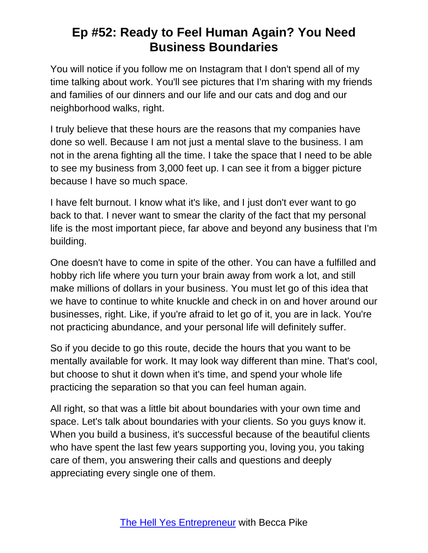You will notice if you follow me on Instagram that I don't spend all of my time talking about work. You'll see pictures that I'm sharing with my friends and families of our dinners and our life and our cats and dog and our neighborhood walks, right.

I truly believe that these hours are the reasons that my companies have done so well. Because I am not just a mental slave to the business. I am not in the arena fighting all the time. I take the space that I need to be able to see my business from 3,000 feet up. I can see it from a bigger picture because I have so much space.

I have felt burnout. I know what it's like, and I just don't ever want to go back to that. I never want to smear the clarity of the fact that my personal life is the most important piece, far above and beyond any business that I'm building.

One doesn't have to come in spite of the other. You can have a fulfilled and hobby rich life where you turn your brain away from work a lot, and still make millions of dollars in your business. You must let go of this idea that we have to continue to white knuckle and check in on and hover around our businesses, right. Like, if you're afraid to let go of it, you are in lack. You're not practicing abundance, and your personal life will definitely suffer.

So if you decide to go this route, decide the hours that you want to be mentally available for work. It may look way different than mine. That's cool, but choose to shut it down when it's time, and spend your whole life practicing the separation so that you can feel human again.

All right, so that was a little bit about boundaries with your own time and space. Let's talk about boundaries with your clients. So you guys know it. When you build a business, it's successful because of the beautiful clients who have spent the last few years supporting you, loving you, you taking care of them, you answering their calls and questions and deeply appreciating every single one of them.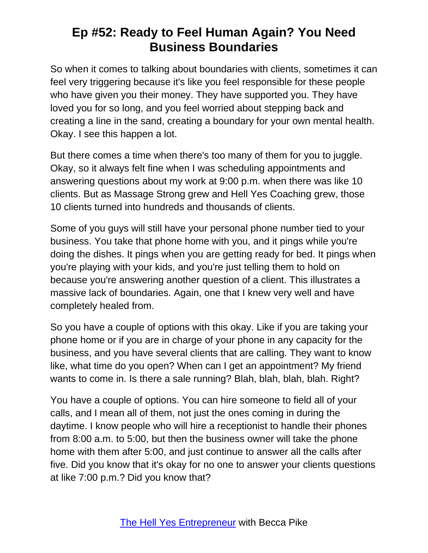So when it comes to talking about boundaries with clients, sometimes it can feel very triggering because it's like you feel responsible for these people who have given you their money. They have supported you. They have loved you for so long, and you feel worried about stepping back and creating a line in the sand, creating a boundary for your own mental health. Okay. I see this happen a lot.

But there comes a time when there's too many of them for you to juggle. Okay, so it always felt fine when I was scheduling appointments and answering questions about my work at 9:00 p.m. when there was like 10 clients. But as Massage Strong grew and Hell Yes Coaching grew, those 10 clients turned into hundreds and thousands of clients.

Some of you guys will still have your personal phone number tied to your business. You take that phone home with you, and it pings while you're doing the dishes. It pings when you are getting ready for bed. It pings when you're playing with your kids, and you're just telling them to hold on because you're answering another question of a client. This illustrates a massive lack of boundaries. Again, one that I knew very well and have completely healed from.

So you have a couple of options with this okay. Like if you are taking your phone home or if you are in charge of your phone in any capacity for the business, and you have several clients that are calling. They want to know like, what time do you open? When can I get an appointment? My friend wants to come in. Is there a sale running? Blah, blah, blah, blah. Right?

You have a couple of options. You can hire someone to field all of your calls, and I mean all of them, not just the ones coming in during the daytime. I know people who will hire a receptionist to handle their phones from 8:00 a.m. to 5:00, but then the business owner will take the phone home with them after 5:00, and just continue to answer all the calls after five. Did you know that it's okay for no one to answer your clients questions at like 7:00 p.m.? Did you know that?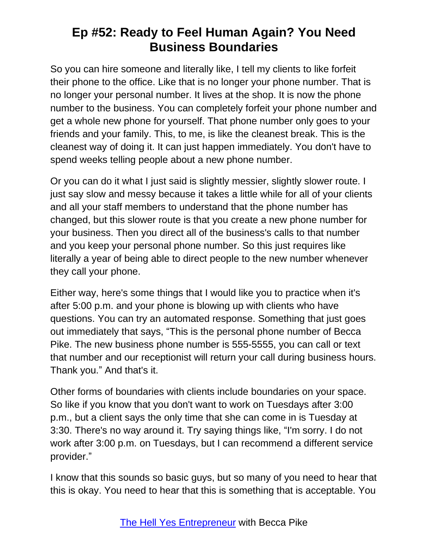So you can hire someone and literally like, I tell my clients to like forfeit their phone to the office. Like that is no longer your phone number. That is no longer your personal number. It lives at the shop. It is now the phone number to the business. You can completely forfeit your phone number and get a whole new phone for yourself. That phone number only goes to your friends and your family. This, to me, is like the cleanest break. This is the cleanest way of doing it. It can just happen immediately. You don't have to spend weeks telling people about a new phone number.

Or you can do it what I just said is slightly messier, slightly slower route. I just say slow and messy because it takes a little while for all of your clients and all your staff members to understand that the phone number has changed, but this slower route is that you create a new phone number for your business. Then you direct all of the business's calls to that number and you keep your personal phone number. So this just requires like literally a year of being able to direct people to the new number whenever they call your phone.

Either way, here's some things that I would like you to practice when it's after 5:00 p.m. and your phone is blowing up with clients who have questions. You can try an automated response. Something that just goes out immediately that says, "This is the personal phone number of Becca Pike. The new business phone number is 555-5555, you can call or text that number and our receptionist will return your call during business hours. Thank you." And that's it.

Other forms of boundaries with clients include boundaries on your space. So like if you know that you don't want to work on Tuesdays after 3:00 p.m., but a client says the only time that she can come in is Tuesday at 3:30. There's no way around it. Try saying things like, "I'm sorry. I do not work after 3:00 p.m. on Tuesdays, but I can recommend a different service provider."

I know that this sounds so basic guys, but so many of you need to hear that this is okay. You need to hear that this is something that is acceptable. You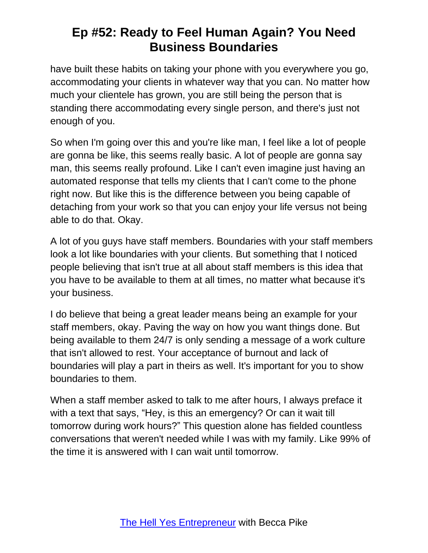have built these habits on taking your phone with you everywhere you go, accommodating your clients in whatever way that you can. No matter how much your clientele has grown, you are still being the person that is standing there accommodating every single person, and there's just not enough of you.

So when I'm going over this and you're like man, I feel like a lot of people are gonna be like, this seems really basic. A lot of people are gonna say man, this seems really profound. Like I can't even imagine just having an automated response that tells my clients that I can't come to the phone right now. But like this is the difference between you being capable of detaching from your work so that you can enjoy your life versus not being able to do that. Okay.

A lot of you guys have staff members. Boundaries with your staff members look a lot like boundaries with your clients. But something that I noticed people believing that isn't true at all about staff members is this idea that you have to be available to them at all times, no matter what because it's your business.

I do believe that being a great leader means being an example for your staff members, okay. Paving the way on how you want things done. But being available to them 24/7 is only sending a message of a work culture that isn't allowed to rest. Your acceptance of burnout and lack of boundaries will play a part in theirs as well. It's important for you to show boundaries to them.

When a staff member asked to talk to me after hours, I always preface it with a text that says, "Hey, is this an emergency? Or can it wait till tomorrow during work hours?" This question alone has fielded countless conversations that weren't needed while I was with my family. Like 99% of the time it is answered with I can wait until tomorrow.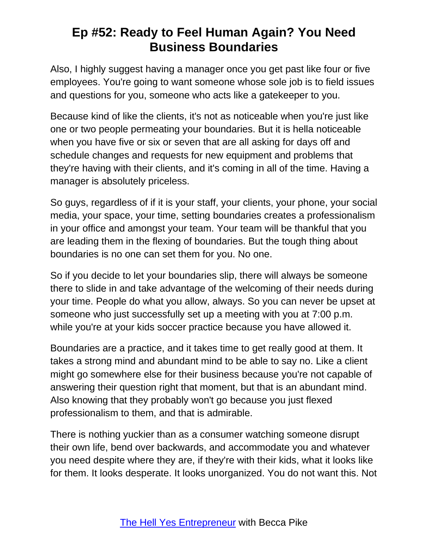Also, I highly suggest having a manager once you get past like four or five employees. You're going to want someone whose sole job is to field issues and questions for you, someone who acts like a gatekeeper to you.

Because kind of like the clients, it's not as noticeable when you're just like one or two people permeating your boundaries. But it is hella noticeable when you have five or six or seven that are all asking for days off and schedule changes and requests for new equipment and problems that they're having with their clients, and it's coming in all of the time. Having a manager is absolutely priceless.

So guys, regardless of if it is your staff, your clients, your phone, your social media, your space, your time, setting boundaries creates a professionalism in your office and amongst your team. Your team will be thankful that you are leading them in the flexing of boundaries. But the tough thing about boundaries is no one can set them for you. No one.

So if you decide to let your boundaries slip, there will always be someone there to slide in and take advantage of the welcoming of their needs during your time. People do what you allow, always. So you can never be upset at someone who just successfully set up a meeting with you at 7:00 p.m. while you're at your kids soccer practice because you have allowed it.

Boundaries are a practice, and it takes time to get really good at them. It takes a strong mind and abundant mind to be able to say no. Like a client might go somewhere else for their business because you're not capable of answering their question right that moment, but that is an abundant mind. Also knowing that they probably won't go because you just flexed professionalism to them, and that is admirable.

There is nothing yuckier than as a consumer watching someone disrupt their own life, bend over backwards, and accommodate you and whatever you need despite where they are, if they're with their kids, what it looks like for them. It looks desperate. It looks unorganized. You do not want this. Not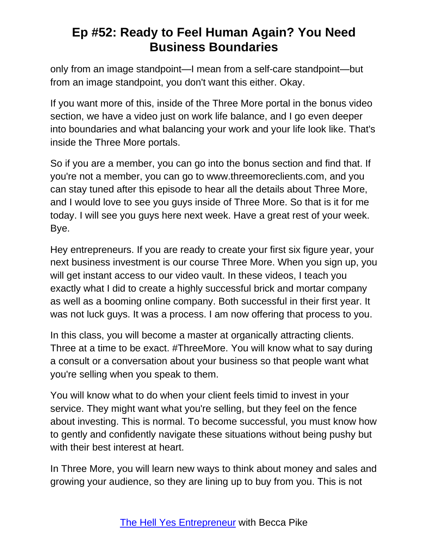only from an image standpoint—I mean from a self-care standpoint—but from an image standpoint, you don't want this either. Okay.

If you want more of this, inside of the Three More portal in the bonus video section, we have a video just on work life balance, and I go even deeper into boundaries and what balancing your work and your life look like. That's inside the Three More portals.

So if you are a member, you can go into the bonus section and find that. If you're not a member, you can go to www.threemoreclients.com, and you can stay tuned after this episode to hear all the details about Three More, and I would love to see you guys inside of Three More. So that is it for me today. I will see you guys here next week. Have a great rest of your week. Bye.

Hey entrepreneurs. If you are ready to create your first six figure year, your next business investment is our course Three More. When you sign up, you will get instant access to our video vault. In these videos, I teach you exactly what I did to create a highly successful brick and mortar company as well as a booming online company. Both successful in their first year. It was not luck guys. It was a process. I am now offering that process to you.

In this class, you will become a master at organically attracting clients. Three at a time to be exact. #ThreeMore. You will know what to say during a consult or a conversation about your business so that people want what you're selling when you speak to them.

You will know what to do when your client feels timid to invest in your service. They might want what you're selling, but they feel on the fence about investing. This is normal. To become successful, you must know how to gently and confidently navigate these situations without being pushy but with their best interest at heart.

In Three More, you will learn new ways to think about money and sales and growing your audience, so they are lining up to buy from you. This is not